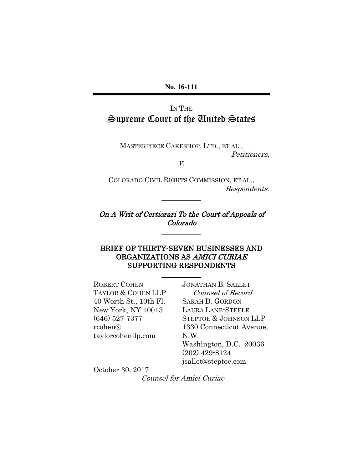**No. 16-111**

## IN THE Supreme Court of the United States

 $\overline{a}$ 

 $\overline{a}$ 

MASTERPIECE CAKESHOP, LTD., ET AL., Petitioners,

V.

COLORADO CIVIL RIGHTS COMMISSION, ET AL., Respondents.

On A Writ of Certiorari To the Court of Appeals of Colorado

### BRIEF OF THIRTY-SEVEN BUSINESSES AND ORGANIZATIONS AS AMICI CURIAE SUPPORTING RESPONDENTS

ROBERT COHEN TAYLOR & COHEN LLP 40 Worth St., 10th Fl. New York, NY 10013 (646) 527-7377 rcohen@ taylorcohenllp.com

JONATHAN B. SALLET Counsel of Record SARAH D. GORDON LAURA LANE-STEELE STEPTOE & JOHNSON LLP 1330 Connecticut Avenue, N.W. Washington, D.C. 20036 (202) 429-8124 jsallet@steptoe.com

October 30, 2017

Counsel for Amici Curiae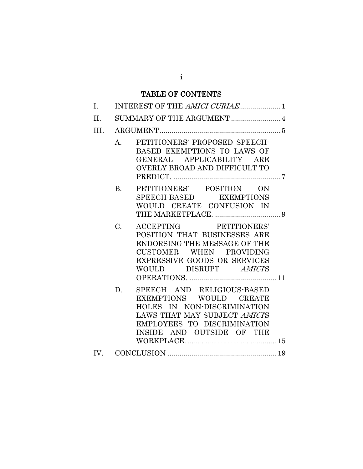## TABLE OF CONTENTS

| I.   |           |                                                                                                                                                                                         |  |
|------|-----------|-----------------------------------------------------------------------------------------------------------------------------------------------------------------------------------------|--|
| II.  |           |                                                                                                                                                                                         |  |
| III. |           |                                                                                                                                                                                         |  |
|      | A.        | PETITIONERS' PROPOSED SPEECH-<br>BASED EXEMPTIONS TO LAWS OF<br>GENERAL APPLICABILITY ARE<br><b>OVERLY BROAD AND DIFFICULT TO</b>                                                       |  |
|      | <b>B.</b> | PETITIONERS' POSITION ON<br>SPEECH-BASED EXEMPTIONS<br>WOULD CREATE CONFUSION IN                                                                                                        |  |
|      | C.        | ACCEPTING PETITIONERS'<br>POSITION THAT BUSINESSES ARE<br><b>ENDORSING THE MESSAGE OF THE</b><br>CUSTOMER WHEN PROVIDING<br><b>EXPRESSIVE GOODS OR SERVICES</b><br>WOULD DISRUPT AMICIS |  |
|      | D.        | SPEECH AND RELIGIOUS-BASED<br>EXEMPTIONS WOULD CREATE<br>HOLES IN NON-DISCRIMINATION<br>LAWS THAT MAY SUBJECT AMICIS<br>EMPLOYEES TO DISCRIMINATION<br>INSIDE AND OUTSIDE OF THE        |  |
|      |           |                                                                                                                                                                                         |  |
|      |           |                                                                                                                                                                                         |  |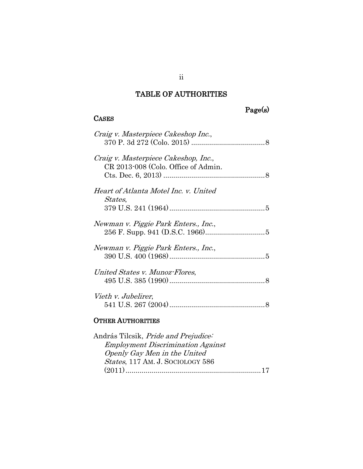## TABLE OF AUTHORITIES

**CASES** 

# Page(s)

| Craig v. Masterpiece Cakeshop Inc.,                                         |
|-----------------------------------------------------------------------------|
| Craig v. Masterpiece Cakeshop, Inc.,<br>CR 2013-008 (Colo. Office of Admin. |
| Heart of Atlanta Motel Inc. v. United<br><i>States,</i>                     |
| Newman v. Piggie Park Enters., Inc.,                                        |
| Newman v. Piggie Park Enters., Inc.,                                        |
| United States v. Munoz-Flores,                                              |
| Vieth v. Jubelirer,                                                         |
| <b>OTHER AUTHORITIES</b>                                                    |
| András Tilcsik, Pride and Prejudice:                                        |

| Andras Tilcsik, <i>Pride and Prejudice</i> . |
|----------------------------------------------|
| <b>Employment Discrimination Against</b>     |
| Openly Gay Men in the United                 |
| <i>States, 117 AM. J. SOCIOLOGY 586</i>      |
|                                              |
|                                              |

ii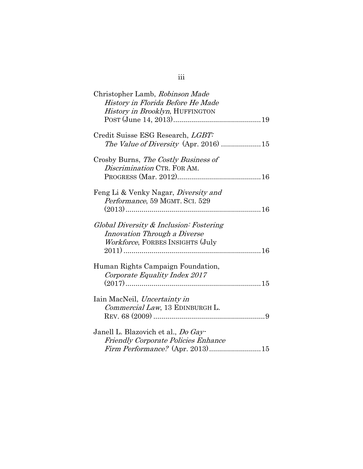| Christopher Lamb, Robinson Made                                         |
|-------------------------------------------------------------------------|
| History in Florida Before He Made                                       |
| History in Brooklyn, HUFFINGTON                                         |
|                                                                         |
| Credit Suisse ESG Research, LGBT:                                       |
|                                                                         |
| Crosby Burns, The Costly Business of<br>Discrimination CTR. FOR AM.     |
|                                                                         |
|                                                                         |
| Feng Li & Venky Nagar, <i>Diversity and</i>                             |
| Performance, 59 MGMT. SCI. 529                                          |
|                                                                         |
| Global Diversity & Inclusion: Fostering<br>Innovation Through a Diverse |
|                                                                         |
| <i>Workforce</i> , FORBES INSIGHTS (July                                |
|                                                                         |
| Human Rights Campaign Foundation,                                       |
| Corporate Equality Index 2017                                           |
|                                                                         |
|                                                                         |
| Iain MacNeil, Uncertainty in                                            |
| Commercial Law, 13 EDINBURGH L.                                         |
|                                                                         |
|                                                                         |
| Janell L. Blazovich et al., <i>Do Gay</i> -                             |
| Friendly Corporate Policies Enhance                                     |
| Firm Performance? (Apr. 2013)15                                         |

# iii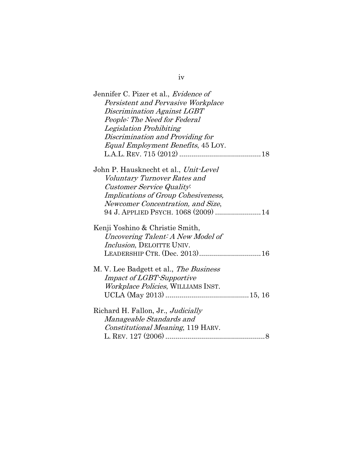| Jennifer C. Pizer et al., Evidence of  |
|----------------------------------------|
| Persistent and Pervasive Workplace     |
| Discrimination Against LGBT            |
| People: The Need for Federal           |
| Legislation Prohibiting                |
| Discrimination and Providing for       |
| Equal Employment Benefits, 45 LOY.     |
|                                        |
| John P. Hausknecht et al., Unit-Level  |
| Voluntary Turnover Rates and           |
| Customer Service Quality:              |
| Implications of Group Cohesiveness,    |
|                                        |
| Newcomer Concentration, and Size,      |
| 94 J. APPLIED PSYCH. 1068 (2009)  14   |
| Kenji Yoshino & Christie Smith,        |
| Uncovering Talent: A New Model of      |
| Inclusion, DELOITTE UNIV.              |
| LEADERSHIP CTR. (Dec. 2013) 16         |
| M. V. Lee Badgett et al., The Business |
| <i>Impact of LGBT-Supportive</i>       |
|                                        |
| Workplace Policies, WILLIAMS INST.     |
|                                        |
| Richard H. Fallon, Jr., Judicially     |
| Manageable Standards and               |
| Constitutional Meaning, 119 HARV.      |
|                                        |
|                                        |

iv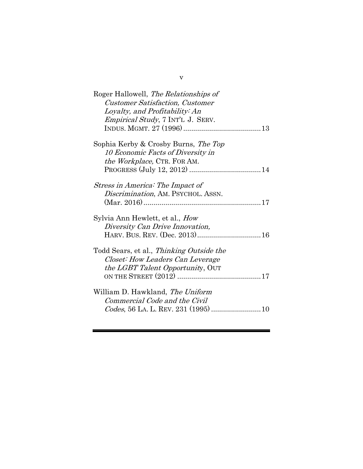| Roger Hallowell, The Relationships of<br><b>Customer Satisfaction, Customer</b><br>Loyalty, and Profitability: An<br><i>Empirical Study</i> , 7 INT'L J. SERV. |
|----------------------------------------------------------------------------------------------------------------------------------------------------------------|
| Sophia Kerby & Crosby Burns, The Top<br>10 Economic Facts of Diversity in<br><i>the Workplace, CTR. FOR AM.</i>                                                |
| Stress in America: The Impact of<br>Discrimination, AM. PSYCHOL. ASSN.                                                                                         |
| Sylvia Ann Hewlett, et al., <i>How</i><br>Diversity Can Drive Innovation,                                                                                      |
| Todd Sears, et al., Thinking Outside the<br>Closet: How Leaders Can Leverage<br><i>the LGBT Talent Opportunity, OUT</i>                                        |
| William D. Hawkland, <i>The Uniform</i><br>Commercial Code and the Civil                                                                                       |

v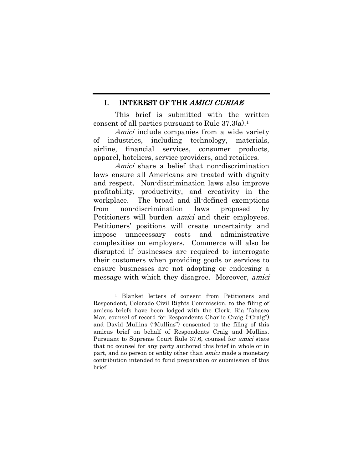### <span id="page-6-0"></span>I. INTEREST OF THE AMICI CURIAE

This brief is submitted with the written consent of all parties pursuant to Rule 37.3(a).<sup>1</sup>

Amici include companies from a wide variety of industries, including technology, materials, airline, financial services, consumer products, apparel, hoteliers, service providers, and retailers.

Amici share a belief that non-discrimination laws ensure all Americans are treated with dignity and respect. Non-discrimination laws also improve profitability, productivity, and creativity in the workplace. The broad and ill-defined exemptions from non-discrimination laws proposed by Petitioners will burden amici and their employees. Petitioners' positions will create uncertainty and impose unnecessary costs and administrative complexities on employers. Commerce will also be disrupted if businesses are required to interrogate their customers when providing goods or services to ensure businesses are not adopting or endorsing a message with which they disagree. Moreover, *amici* 

<sup>1</sup> Blanket letters of consent from Petitioners and Respondent, Colorado Civil Rights Commission, to the filing of amicus briefs have been lodged with the Clerk. Ria Tabacco Mar, counsel of record for Respondents Charlie Craig ("Craig") and David Mullins ("Mullins") consented to the filing of this amicus brief on behalf of Respondents Craig and Mullins. Pursuant to Supreme Court Rule 37.6, counsel for amici state that no counsel for any party authored this brief in whole or in part, and no person or entity other than *amici* made a monetary contribution intended to fund preparation or submission of this brief.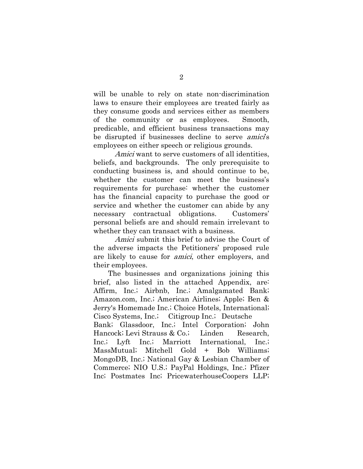will be unable to rely on state non-discrimination laws to ensure their employees are treated fairly as they consume goods and services either as members of the community or as employees. Smooth, predicable, and efficient business transactions may be disrupted if businesses decline to serve *amici's* employees on either speech or religious grounds.

Amici want to serve customers of all identities, beliefs, and backgrounds. The only prerequisite to conducting business is, and should continue to be, whether the customer can meet the business's requirements for purchase: whether the customer has the financial capacity to purchase the good or service and whether the customer can abide by any necessary contractual obligations. Customers' personal beliefs are and should remain irrelevant to whether they can transact with a business.

Amici submit this brief to advise the Court of the adverse impacts the Petitioners' proposed rule are likely to cause for amici, other employers, and their employees.

 The businesses and organizations joining this brief, also listed in the attached Appendix, are: Affirm, Inc.; Airbnb, Inc.; Amalgamated Bank; Amazon.com, Inc.; American Airlines; Apple; Ben & Jerry's Homemade Inc.; Choice Hotels, International; Cisco Systems, Inc.; Citigroup Inc.; Deutsche Bank; Glassdoor, Inc.; Intel Corporation; John Hancock; Levi Strauss & Co.; Linden Research, Inc.; Lyft Inc.; Marriott International, Inc.; MassMutual; Mitchell Gold + Bob Williams; MongoDB, Inc.; National Gay & Lesbian Chamber of Commerce; NIO U.S.; PayPal Holdings, Inc.; Pfizer Inc; Postmates Inc; PricewaterhouseCoopers LLP;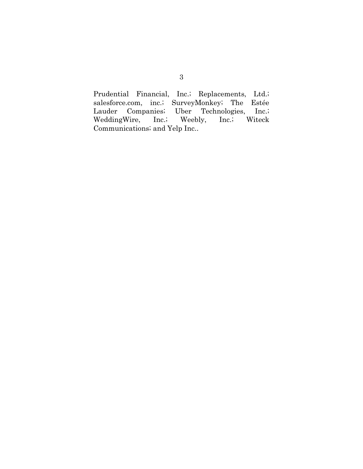Prudential Financial, Inc.; Replacements, Ltd.; salesforce.com, inc.; SurveyMonkey; The Estée Lauder Companies; Uber Technologies, Inc.; Uber Technologies, Inc.; WeddingWire, Inc.; Weebly, Inc.; Witeck Communications; and Yelp Inc..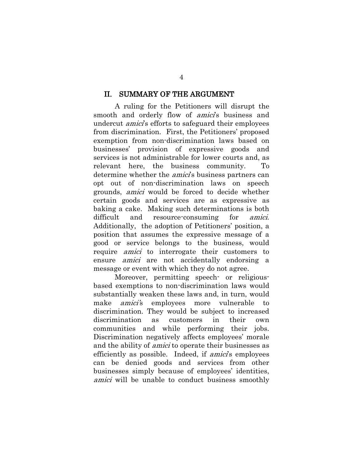#### <span id="page-9-0"></span>II. SUMMARY OF THE ARGUMENT

A ruling for the Petitioners will disrupt the smooth and orderly flow of *amici*'s business and undercut *amici*'s efforts to safeguard their employees from discrimination. First, the Petitioners' proposed exemption from non-discrimination laws based on businesses' provision of expressive goods and services is not administrable for lower courts and, as relevant here, the business community. To determine whether the *amici*'s business partners can opt out of non-discrimination laws on speech grounds, amici would be forced to decide whether certain goods and services are as expressive as baking a cake. Making such determinations is both difficult and resource-consuming for *amici*. Additionally, the adoption of Petitioners' position, a position that assumes the expressive message of a good or service belongs to the business, would require amici to interrogate their customers to ensure *amici* are not accidentally endorsing a message or event with which they do not agree.

Moreover, permitting speech- or religiousbased exemptions to non-discrimination laws would substantially weaken these laws and, in turn, would make *amici's* employees more vulnerable to discrimination. They would be subject to increased discrimination as customers in their own communities and while performing their jobs. Discrimination negatively affects employees' morale and the ability of *amici* to operate their businesses as efficiently as possible. Indeed, if *amici*'s employees can be denied goods and services from other businesses simply because of employees' identities, amici will be unable to conduct business smoothly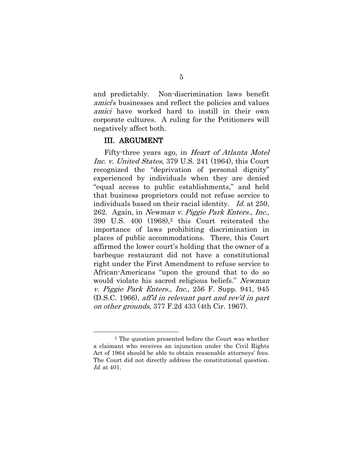and predictably. Non-discrimination laws benefit amici's businesses and reflect the policies and values amici have worked hard to instill in their own corporate cultures. A ruling for the Petitioners will negatively affect both.

#### <span id="page-10-0"></span>III. ARGUMENT

Fifty-three years ago, in Heart of Atlanta Motel Inc. v. United States, 379 U.S. 241 (1964), this Court recognized the "deprivation of personal dignity" experienced by individuals when they are denied "equal access to public establishments," and held that business proprietors could not refuse service to individuals based on their racial identity. Id. at 250, 262. Again, in Newman v. Piggie Park Enters., Inc., 390 U.S. 400 (1968),<sup>2</sup> this Court reiterated the importance of laws prohibiting discrimination in places of public accommodations. There, this Court affirmed the lower court's holding that the owner of a barbeque restaurant did not have a constitutional right under the First Amendment to refuse service to African-Americans "upon the ground that to do so would violate his sacred religious beliefs." Newman v. Piggie Park Enters., Inc., 256 F. Supp. 941, 945 (D.S.C. 1966), aff'd in relevant part and rev'd in part on other grounds, 377 F.2d 433 (4th Cir. 1967).

<sup>2</sup> The question presented before the Court was whether a claimant who receives an injunction under the Civil Rights Act of 1964 should be able to obtain reasonable attorneys' fees. The Court did not directly address the constitutional question. Id. at 401.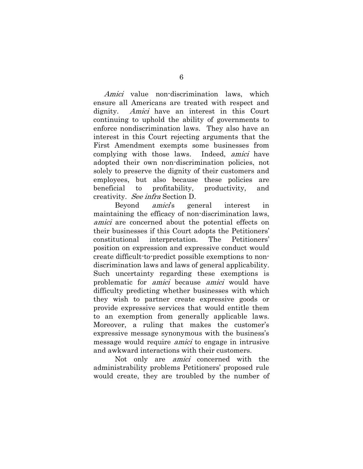Amici value non-discrimination laws, which ensure all Americans are treated with respect and dignity. Amici have an interest in this Court continuing to uphold the ability of governments to enforce nondiscrimination laws. They also have an interest in this Court rejecting arguments that the First Amendment exempts some businesses from complying with those laws. Indeed, amici have adopted their own non-discrimination policies, not solely to preserve the dignity of their customers and employees, but also because these policies are beneficial to profitability, productivity, and creativity. See infra Section D.

Beyond *amici*'s general interest in maintaining the efficacy of non-discrimination laws, amici are concerned about the potential effects on their businesses if this Court adopts the Petitioners' constitutional interpretation. The Petitioners' position on expression and expressive conduct would create difficult-to-predict possible exemptions to nondiscrimination laws and laws of general applicability. Such uncertainty regarding these exemptions is problematic for amici because amici would have difficulty predicting whether businesses with which they wish to partner create expressive goods or provide expressive services that would entitle them to an exemption from generally applicable laws. Moreover, a ruling that makes the customer's expressive message synonymous with the business's message would require *amici* to engage in intrusive and awkward interactions with their customers.

Not only are amici concerned with the administrability problems Petitioners' proposed rule would create, they are troubled by the number of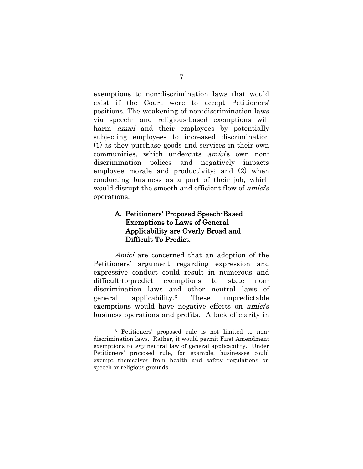exemptions to non-discrimination laws that would exist if the Court were to accept Petitioners' positions. The weakening of non-discrimination laws via speech- and religious-based exemptions will harm *amici* and their employees by potentially subjecting employees to increased discrimination (1) as they purchase goods and services in their own communities, which undercuts *amici*'s own nondiscrimination polices and negatively impacts employee morale and productivity; and (2) when conducting business as a part of their job, which would disrupt the smooth and efficient flow of *amici's* operations.

## <span id="page-12-0"></span>A. Petitioners' Proposed Speech-Based Exemptions to Laws of General Applicability are Overly Broad and Difficult To Predict.

Amici are concerned that an adoption of the Petitioners' argument regarding expression and expressive conduct could result in numerous and difficult-to-predict exemptions to state nondiscrimination laws and other neutral laws of general applicability.<sup>3</sup> These unpredictable exemptions would have negative effects on *amici's* business operations and profits. A lack of clarity in

l

<sup>3</sup> Petitioners' proposed rule is not limited to nondiscrimination laws. Rather, it would permit First Amendment exemptions to any neutral law of general applicability. Under Petitioners' proposed rule, for example, businesses could exempt themselves from health and safety regulations on speech or religious grounds.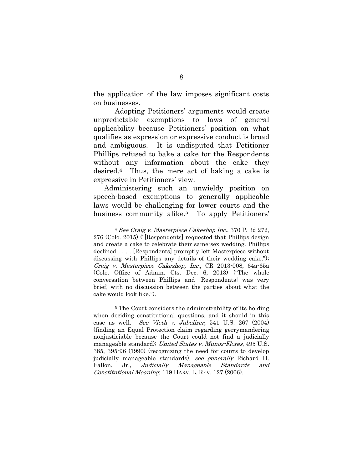the application of the law imposes significant costs on businesses.

Adopting Petitioners' arguments would create unpredictable exemptions to laws of general applicability because Petitioners' position on what qualifies as expression or expressive conduct is broad and ambiguous. It is undisputed that Petitioner Phillips refused to bake a cake for the Respondents without any information about the cake they desired.4 Thus, the mere act of baking a cake is expressive in Petitioners' view.

Administering such an unwieldy position on speech-based exemptions to generally applicable laws would be challenging for lower courts and the business community alike.<sup>5</sup> To apply Petitioners'

<sup>4</sup> See Craig v. Masterpiece Cakeshop Inc., 370 P. 3d 272, 276 (Colo. 2015) ("[Respondents] requested that Phillips design and create a cake to celebrate their same-sex wedding. Phillips declined . . . . [Respondents] promptly left Masterpiece without discussing with Phillips any details of their wedding cake."); Craig v. Masterpiece Cakeshop, Inc., CR 2013-008, 64a-65a (Colo. Office of Admin. Cts. Dec. 6, 2013) ("The whole conversation between Phillips and [Respondents] was very brief, with no discussion between the parties about what the cake would look like.").

<sup>5</sup> The Court considers the administrability of its holding when deciding constitutional questions, and it should in this case as well. See Vieth v. Jubelirer, 541 U.S. 267 (2004) (finding an Equal Protection claim regarding gerrymandering nonjusticiable because the Court could not find a judicially manageable standard); United States v. Munoz-Flores, 495 U.S. 385, 395-96 (1990) (recognizing the need for courts to develop judicially manageable standards); see generally Richard H. Fallon, Jr., Judicially Manageable Standards and Constitutional Meaning, 119 HARV. L. REV. 127 (2006).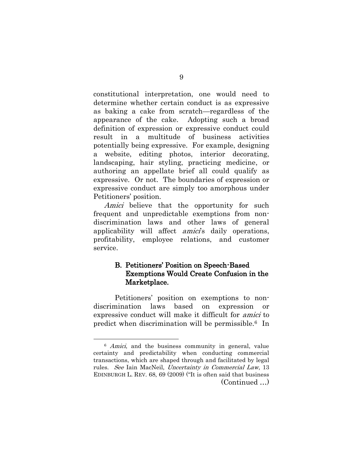constitutional interpretation, one would need to determine whether certain conduct is as expressive as baking a cake from scratch—regardless of the appearance of the cake. Adopting such a broad definition of expression or expressive conduct could result in a multitude of business activities potentially being expressive. For example, designing a website, editing photos, interior decorating, landscaping, hair styling, practicing medicine, or authoring an appellate brief all could qualify as expressive. Or not. The boundaries of expression or expressive conduct are simply too amorphous under Petitioners' position.

Amici believe that the opportunity for such frequent and unpredictable exemptions from nondiscrimination laws and other laws of general applicability will affect *amici*'s daily operations, profitability, employee relations, and customer service.

## <span id="page-14-0"></span>B. Petitioners' Position on Speech-Based Exemptions Would Create Confusion in the Marketplace.

Petitioners' position on exemptions to nondiscrimination laws based on expression or expressive conduct will make it difficult for amici to predict when discrimination will be permissible.6 In

<sup>&</sup>lt;sup>6</sup> Amici, and the business community in general, value certainty and predictability when conducting commercial transactions, which are shaped through and facilitated by legal rules. See Iain MacNeil, Uncertainty in Commercial Law, 13 EDINBURGH L. REV. 68, 69 (2009) ("It is often said that business (Continued …)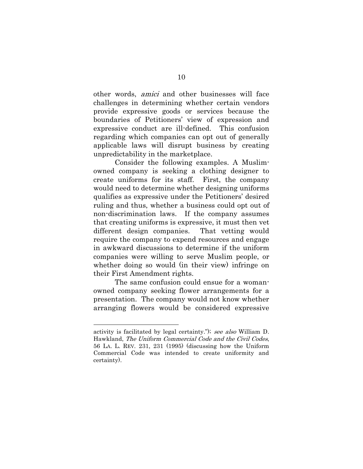other words, amici and other businesses will face challenges in determining whether certain vendors provide expressive goods or services because the boundaries of Petitioners' view of expression and expressive conduct are ill-defined. This confusion regarding which companies can opt out of generally applicable laws will disrupt business by creating unpredictability in the marketplace.

Consider the following examples. A Muslimowned company is seeking a clothing designer to create uniforms for its staff. First, the company would need to determine whether designing uniforms qualifies as expressive under the Petitioners' desired ruling and thus, whether a business could opt out of non-discrimination laws. If the company assumes that creating uniforms is expressive, it must then vet different design companies. That vetting would require the company to expend resources and engage in awkward discussions to determine if the uniform companies were willing to serve Muslim people, or whether doing so would (in their view) infringe on their First Amendment rights.

The same confusion could ensue for a womanowned company seeking flower arrangements for a presentation. The company would not know whether arranging flowers would be considered expressive

l

activity is facilitated by legal certainty."); see also William D. Hawkland, The Uniform Commercial Code and the Civil Codes, 56 LA. L. REV. 231, 231 (1995) (discussing how the Uniform Commercial Code was intended to create uniformity and certainty).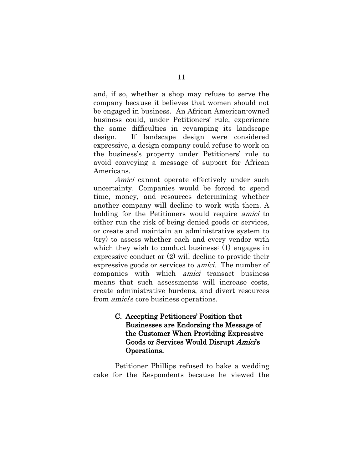and, if so, whether a shop may refuse to serve the company because it believes that women should not be engaged in business. An African American-owned business could, under Petitioners' rule, experience the same difficulties in revamping its landscape design. If landscape design were considered expressive, a design company could refuse to work on the business's property under Petitioners' rule to avoid conveying a message of support for African Americans.

Amici cannot operate effectively under such uncertainty. Companies would be forced to spend time, money, and resources determining whether another company will decline to work with them. A holding for the Petitioners would require *amici* to either run the risk of being denied goods or services, or create and maintain an administrative system to (try) to assess whether each and every vendor with which they wish to conduct business: (1) engages in expressive conduct or (2) will decline to provide their expressive goods or services to amici. The number of companies with which amici transact business means that such assessments will increase costs, create administrative burdens, and divert resources from *amici*'s core business operations.

## <span id="page-16-0"></span>C. Accepting Petitioners' Position that Businesses are Endorsing the Message of the Customer When Providing Expressive Goods or Services Would Disrupt Amici's Operations.

Petitioner Phillips refused to bake a wedding cake for the Respondents because he viewed the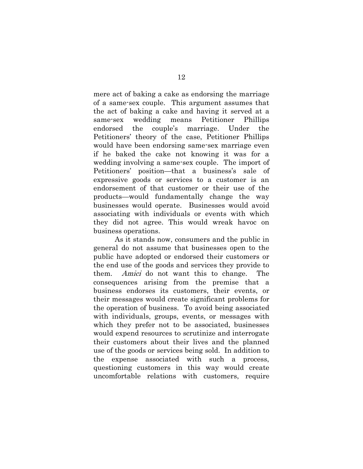mere act of baking a cake as endorsing the marriage of a same-sex couple. This argument assumes that the act of baking a cake and having it served at a same-sex wedding means Petitioner Phillips endorsed the couple's marriage. Under the Petitioners' theory of the case, Petitioner Phillips would have been endorsing same-sex marriage even if he baked the cake not knowing it was for a wedding involving a same-sex couple. The import of Petitioners' position—that a business's sale of expressive goods or services to a customer is an endorsement of that customer or their use of the products—would fundamentally change the way businesses would operate. Businesses would avoid associating with individuals or events with which they did not agree. This would wreak havoc on business operations.

As it stands now, consumers and the public in general do not assume that businesses open to the public have adopted or endorsed their customers or the end use of the goods and services they provide to them. Amici do not want this to change. The consequences arising from the premise that a business endorses its customers, their events, or their messages would create significant problems for the operation of business. To avoid being associated with individuals, groups, events, or messages with which they prefer not to be associated, businesses would expend resources to scrutinize and interrogate their customers about their lives and the planned use of the goods or services being sold. In addition to the expense associated with such a process, questioning customers in this way would create uncomfortable relations with customers, require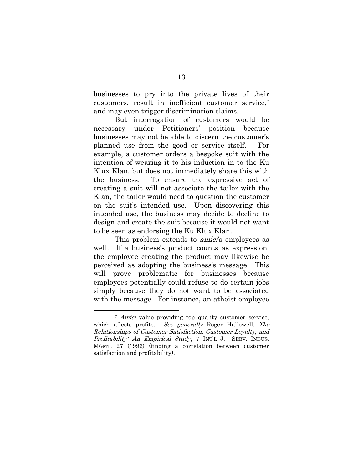businesses to pry into the private lives of their customers, result in inefficient customer service,<sup>7</sup> and may even trigger discrimination claims.

But interrogation of customers would be necessary under Petitioners' position because businesses may not be able to discern the customer's planned use from the good or service itself. For example, a customer orders a bespoke suit with the intention of wearing it to his induction in to the Ku Klux Klan, but does not immediately share this with the business. To ensure the expressive act of creating a suit will not associate the tailor with the Klan, the tailor would need to question the customer on the suit's intended use. Upon discovering this intended use, the business may decide to decline to design and create the suit because it would not want to be seen as endorsing the Ku Klux Klan.

This problem extends to *amici*'s employees as well. If a business's product counts as expression, the employee creating the product may likewise be perceived as adopting the business's message. This will prove problematic for businesses because employees potentially could refuse to do certain jobs simply because they do not want to be associated with the message. For instance, an atheist employee

l

<sup>&</sup>lt;sup>7</sup> Amici value providing top quality customer service, which affects profits. See generally Roger Hallowell, The Relationships of Customer Satisfaction, Customer Loyalty, and Profitability: An Empirical Study, 7 INT'L J. SERV. INDUS. MGMT. 27 (1996) (finding a correlation between customer satisfaction and profitability).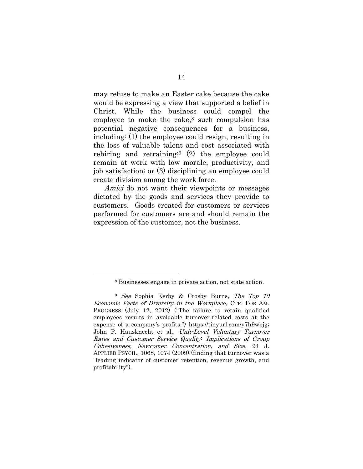may refuse to make an Easter cake because the cake would be expressing a view that supported a belief in Christ. While the business could compel the employee to make the cake,<sup>8</sup> such compulsion has potential negative consequences for a business, including: (1) the employee could resign, resulting in the loss of valuable talent and cost associated with rehiring and retraining; <sup>9</sup> (2) the employee could remain at work with low morale, productivity, and job satisfaction; or (3) disciplining an employee could create division among the work force.

Amici do not want their viewpoints or messages dictated by the goods and services they provide to customers. Goods created for customers or services performed for customers are and should remain the expression of the customer, not the business.

<sup>8</sup> Businesses engage in private action, not state action.

<sup>9</sup> See Sophia Kerby & Crosby Burns, The Top 10 Economic Facts of Diversity in the Workplace, CTR. FOR AM. PROGRESS (July 12, 2012) ("The failure to retain qualified employees results in avoidable turnover-related costs at the expense of a company's profits.") https://tinyurl.com/y7h9wbjg; John P. Hausknecht et al., Unit-Level Voluntary Turnover Rates and Customer Service Quality: Implications of Group Cohesiveness, Newcomer Concentration, and Size, 94 J. APPLIED PSYCH., 1068, 1074 (2009) (finding that turnover was a "leading indicator of customer retention, revenue growth, and profitability").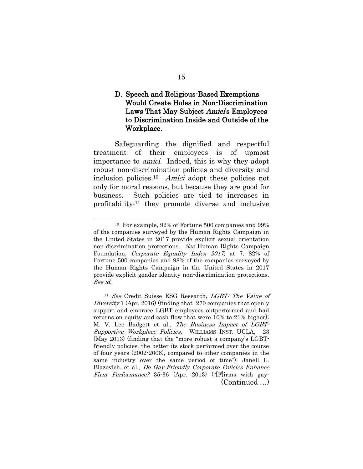## <span id="page-20-0"></span>D. Speech and Religious-Based Exemptions Would Create Holes in Non-Discrimination Laws That May Subject Amici's Employees to Discrimination Inside and Outside of the Workplace.

Safeguarding the dignified and respectful treatment of their employees is of upmost importance to amici. Indeed, this is why they adopt robust non-discrimination policies and diversity and inclusion policies.<sup>10</sup> Amici adopt these policies not only for moral reasons, but because they are good for business. Such policies are tied to increases in profitability; <sup>11</sup> they promote diverse and inclusive

<sup>10</sup> For example, 92% of Fortune 500 companies and 99% of the companies surveyed by the Human Rights Campaign in the United States in 2017 provide explicit sexual orientation non-discrimination protections. See Human Rights Campaign Foundation, Corporate Equality Index 2017, at 7. 82% of Fortune 500 companies and 98% of the companies surveyed by the Human Rights Campaign in the United States in 2017 provide explicit gender identity non-discrimination protections. See id.

<sup>11</sup> See Credit Suisse ESG Research, LGBT: The Value of Diversity 1 (Apr. 2016) (finding that 270 companies that openly support and embrace LGBT employees outperformed and had returns on equity and cash flow that were 10% to 21% higher); M. V. Lee Badgett et al., The Business Impact of LGBT-Supportive Workplace Policies, WILLIAMS INST. UCLA, 23 (May 2013) (finding that the "more robust a company's LGBTfriendly policies, the better its stock performed over the course of four years (2002-2006), compared to other companies in the same industry over the same period of time"); Janell L. Blazovich, et al., Do Gay-Friendly Corporate Policies Enhance Firm Performance? 35-36 (Apr. 2013) ("[F]irms with gay-(Continued …)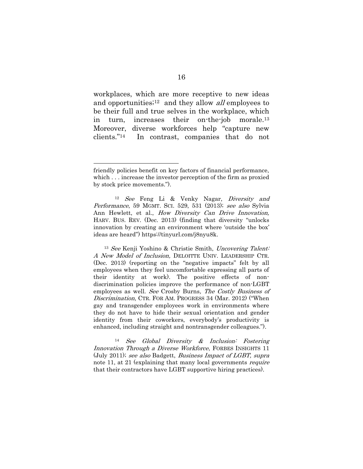workplaces, which are more receptive to new ideas and opportunities;12 and they allow all employees to be their full and true selves in the workplace, which in turn, increases their on-the-job morale.<sup>13</sup> Moreover, diverse workforces help "capture new clients."14 In contrast, companies that do not

l

<sup>13</sup> See Kenji Yoshino & Christie Smith, Uncovering Talent: A New Model of Inclusion, DELOITTE UNIV. LEADERSHIP CTR. (Dec. 2013) (reporting on the "negative impacts" felt by all employees when they feel uncomfortable expressing all parts of their identity at work). The positive effects of nondiscrimination policies improve the performance of non-LGBT employees as well. See Crosby Burns, The Costly Business of Discrimination, CTR. FOR AM. PROGRESS 34 (Mar. 2012) ("When gay and transgender employees work in environments where they do not have to hide their sexual orientation and gender identity from their coworkers, everybody's productivity is enhanced, including straight and nontransgender colleagues.").

<sup>14</sup> See Global Diversity & Inclusion: Fostering Innovation Through a Diverse Workforce, FORBES INSIGHTS 11 (July 2011); see also Badgett, Business Impact of LGBT, supra note 11, at 21 (explaining that many local governments *require* that their contractors have LGBT supportive hiring practices).

friendly policies benefit on key factors of financial performance, which . . . increase the investor perception of the firm as proxied by stock price movements.").

<sup>&</sup>lt;sup>12</sup> See Feng Li & Venky Nagar, Diversity and Performance, 59 MGMT. SCI. 529, 531 (2013); see also Sylvia Ann Hewlett, et al., How Diversity Can Drive Innovation, HARV. BUS. REV. (Dec. 2013) (finding that diversity "unlocks innovation by creating an environment where 'outside the box' ideas are heard") https://tinyurl.com/j8nyu8k.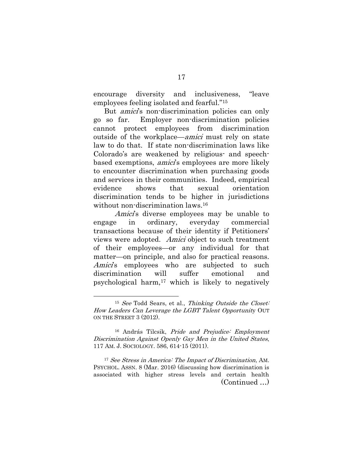encourage diversity and inclusiveness, "leave employees feeling isolated and fearful."<sup>15</sup>

But *amici*'s non-discrimination policies can only go so far. Employer non-discrimination policies cannot protect employees from discrimination outside of the workplace—amici must rely on state law to do that. If state non-discrimination laws like Colorado's are weakened by religious- and speechbased exemptions, *amici*'s employees are more likely to encounter discrimination when purchasing goods and services in their communities. Indeed, empirical evidence shows that sexual orientation discrimination tends to be higher in jurisdictions without non-discrimination laws.<sup>16</sup>

Amici's diverse employees may be unable to engage in ordinary, everyday commercial transactions because of their identity if Petitioners' views were adopted. Amici object to such treatment of their employees—or any individual for that matter—on principle, and also for practical reasons. Amici's employees who are subjected to such discrimination will suffer emotional and psychological harm, $17$  which is likely to negatively

l

<sup>17</sup> See Stress in America: The Impact of Discrimination, AM. PSYCHOL. ASSN. 8 (Mar. 2016) (discussing how discrimination is associated with higher stress levels and certain health (Continued …)

<sup>&</sup>lt;sup>15</sup> See Todd Sears, et al., Thinking Outside the Closet: How Leaders Can Leverage the LGBT Talent Opportunity OUT ON THE STREET 3 (2012).

<sup>&</sup>lt;sup>16</sup> András Tilcsik, Pride and Prejudice: Employment Discrimination Against Openly Gay Men in the United States, 117 AM. J. SOCIOLOGY. 586, 614-15 (2011).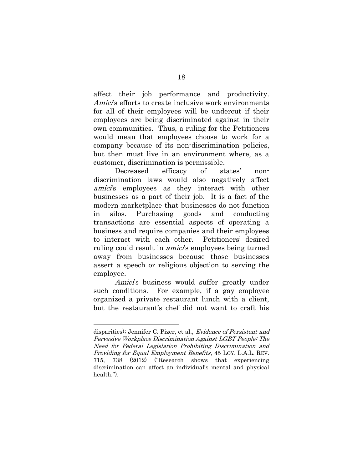affect their job performance and productivity. Amici's efforts to create inclusive work environments for all of their employees will be undercut if their employees are being discriminated against in their own communities. Thus, a ruling for the Petitioners would mean that employees choose to work for a company because of its non-discrimination policies, but then must live in an environment where, as a customer, discrimination is permissible.

Decreased efficacy of states' nondiscrimination laws would also negatively affect amici's employees as they interact with other businesses as a part of their job. It is a fact of the modern marketplace that businesses do not function in silos. Purchasing goods and conducting transactions are essential aspects of operating a business and require companies and their employees to interact with each other. Petitioners' desired ruling could result in *amici*'s employees being turned away from businesses because those businesses assert a speech or religious objection to serving the employee.

Amici's business would suffer greatly under such conditions. For example, if a gay employee organized a private restaurant lunch with a client, but the restaurant's chef did not want to craft his

l

disparities); Jennifer C. Pizer, et al., Evidence of Persistent and Pervasive Workplace Discrimination Against LGBT People: The Need for Federal Legislation Prohibiting Discrimination and Providing for Equal Employment Benefits, 45 LOY. L.A.L. REV. 715, 738 (2012) ("Research shows that experiencing discrimination can affect an individual's mental and physical health.").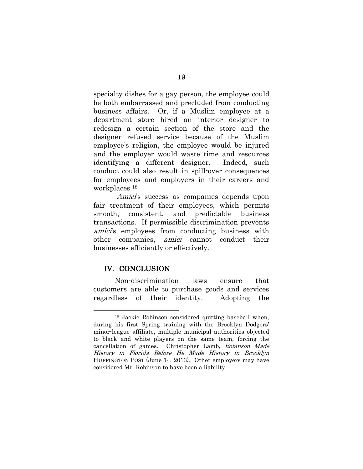specialty dishes for a gay person, the employee could be both embarrassed and precluded from conducting business affairs. Or, if a Muslim employee at a department store hired an interior designer to redesign a certain section of the store and the designer refused service because of the Muslim employee's religion, the employee would be injured and the employer would waste time and resources identifying a different designer. Indeed, such conduct could also result in spill-over consequences for employees and employers in their careers and workplaces.<sup>18</sup>

Amici's success as companies depends upon fair treatment of their employees, which permits smooth, consistent, and predictable business transactions. If permissible discrimination prevents amici's employees from conducting business with other companies, amici cannot conduct their businesses efficiently or effectively.

## <span id="page-24-0"></span>IV. CONCLUSION

l

Non-discrimination laws ensure that customers are able to purchase goods and services regardless of their identity. Adopting the

<sup>18</sup> Jackie Robinson considered quitting baseball when, during his first Spring training with the Brooklyn Dodgers' minor-league affiliate, multiple municipal authorities objected to black and white players on the same team, forcing the cancellation of games. Christopher Lamb, Robinson Made History in Florida Before He Made History in Brooklyn HUFFINGTON POST (June 14, 2013). Other employers may have considered Mr. Robinson to have been a liability.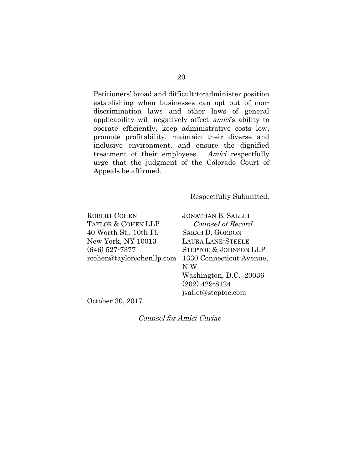Petitioners' broad and difficult-to-administer position establishing when businesses can opt out of nondiscrimination laws and other laws of general applicability will negatively affect *amici*'s ability to operate efficiently, keep administrative costs low, promote profitability, maintain their diverse and inclusive environment, and ensure the dignified treatment of their employees. Amici respectfully urge that the judgment of the Colorado Court of Appeals be affirmed.

Respectfully Submitted,

ROBERT COHEN TAYLOR & COHEN LLP 40 Worth St., 10th Fl. New York, NY 10013 (646) 527-7377

rcohen@taylorcohenllp.com 1330 Connecticut Avenue, JONATHAN B. SALLET Counsel of Record SARAH D. GORDON LAURA LANE-STEELE STEPTOE & JOHNSON LLP N.W. Washington, D.C. 20036 (202) 429-8124 jsallet@steptoe.com

October 30, 2017

Counsel for Amici Curiae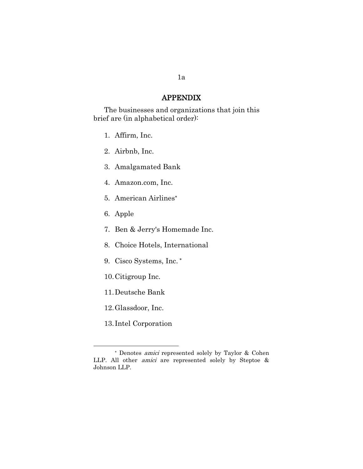#### APPENDIX

The businesses and organizations that join this brief are (in alphabetical order):

- 1. Affirm, Inc.
- 2. Airbnb, Inc.
- 3. Amalgamated Bank
- 4. Amazon.com, Inc.
- 5. American Airlines
- 6. Apple
- 7. Ben & Jerry's Homemade Inc.
- 8. Choice Hotels, International
- 9. Cisco Systems, Inc.
- 10.Citigroup Inc.
- 11.Deutsche Bank
- 12.Glassdoor, Inc.

13. Intel Corporation

Denotes amici represented solely by Taylor & Cohen LLP. All other amici are represented solely by Steptoe & Johnson LLP.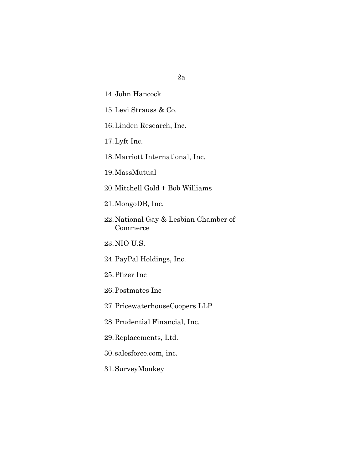- 14.John Hancock
- 15.Levi Strauss & Co.
- 16.Linden Research, Inc.
- 17.Lyft Inc.
- 18.Marriott International, Inc.
- 19.MassMutual
- 20.Mitchell Gold + Bob Williams
- 21.MongoDB, Inc.
- 22.National Gay & Lesbian Chamber of Commerce
- 23.NIO U.S.
- 24.PayPal Holdings, Inc.
- 25.Pfizer Inc
- 26.Postmates Inc
- 27.PricewaterhouseCoopers LLP
- 28.Prudential Financial, Inc.
- 29.Replacements, Ltd.
- 30.salesforce.com, inc.
- 31.SurveyMonkey